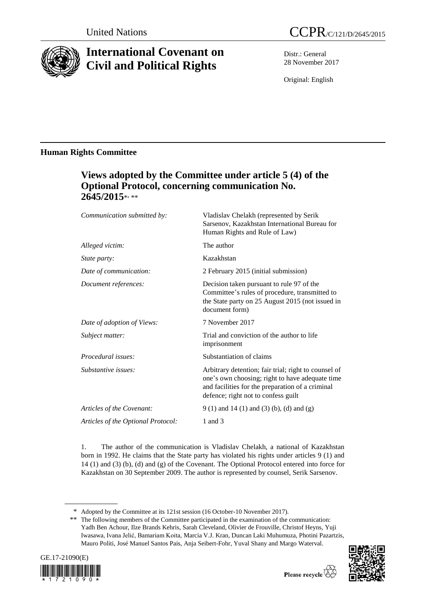

# **International Covenant on Civil and Political Rights**

Distr.: General 28 November 2017

Original: English

# **Human Rights Committee**

# **Views adopted by the Committee under article 5 (4) of the Optional Protocol, concerning communication No. 2645/2015**\* , \*\*

| Communication submitted by:        | Vladislav Chelakh (represented by Serik<br>Sarsenov, Kazakhstan International Bureau for<br>Human Rights and Rule of Law)                                                                          |
|------------------------------------|----------------------------------------------------------------------------------------------------------------------------------------------------------------------------------------------------|
| Alleged victim:                    | The author                                                                                                                                                                                         |
| <i>State party:</i>                | Kazakhstan                                                                                                                                                                                         |
| Date of communication:             | 2 February 2015 (initial submission)                                                                                                                                                               |
| Document references:               | Decision taken pursuant to rule 97 of the<br>Committee's rules of procedure, transmitted to<br>the State party on 25 August 2015 (not issued in<br>document form)                                  |
| Date of adoption of Views:         | 7 November 2017                                                                                                                                                                                    |
| Subject matter:                    | Trial and conviction of the author to life<br>imprisonment                                                                                                                                         |
| Procedural issues:                 | Substantiation of claims                                                                                                                                                                           |
| Substantive issues:                | Arbitrary detention; fair trial; right to counsel of<br>one's own choosing; right to have adequate time<br>and facilities for the preparation of a criminal<br>defence; right not to confess guilt |
| Articles of the Covenant:          | $9(1)$ and $14(1)$ and $(3)(b)$ , (d) and $(g)$                                                                                                                                                    |
| Articles of the Optional Protocol: | 1 and $3$                                                                                                                                                                                          |
|                                    |                                                                                                                                                                                                    |

1. The author of the communication is Vladislav Chelakh, a national of Kazakhstan born in 1992. He claims that the State party has violated his rights under articles 9 (1) and 14 (1) and (3) (b), (d) and (g) of the Covenant. The Optional Protocol entered into force for Kazakhstan on 30 September 2009. The author is represented by counsel, Serik Sarsenov.

<sup>\*\*</sup> The following members of the Committee participated in the examination of the communication: Yadh Ben Achour, Ilze Brands Kehris, Sarah Cleveland, Olivier de Frouville, Christof Heyns, Yuji Iwasawa, Ivana Jelić, Bamariam Koita, Marcia V.J. Kran, Duncan Laki Muhumuza, Photini Pazartzis, Mauro Politi, José Manuel Santos Pais, Anja Seibert-Fohr, Yuval Shany and Margo Waterval.





<sup>\*</sup> Adopted by the Committee at its 121st session (16 October-10 November 2017).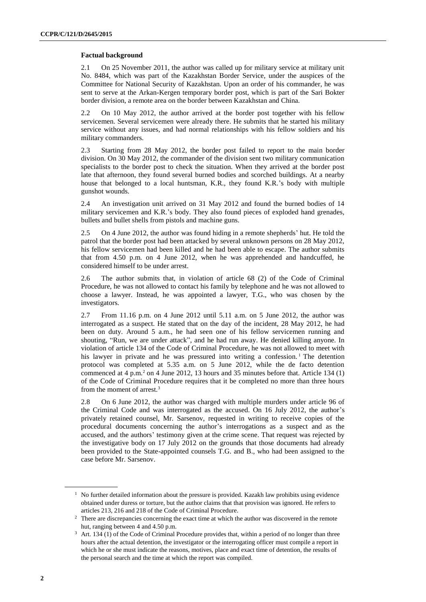### **Factual background**

2.1 On 25 November 2011, the author was called up for military service at military unit No. 8484, which was part of the Kazakhstan Border Service, under the auspices of the Committee for National Security of Kazakhstan. Upon an order of his commander, he was sent to serve at the Arkan-Kergen temporary border post, which is part of the Sari Bokter border division, a remote area on the border between Kazakhstan and China.

2.2 On 10 May 2012, the author arrived at the border post together with his fellow servicemen. Several servicemen were already there. He submits that he started his military service without any issues, and had normal relationships with his fellow soldiers and his military commanders.

2.3 Starting from 28 May 2012, the border post failed to report to the main border division. On 30 May 2012, the commander of the division sent two military communication specialists to the border post to check the situation. When they arrived at the border post late that afternoon, they found several burned bodies and scorched buildings. At a nearby house that belonged to a local huntsman, K.R., they found K.R.'s body with multiple gunshot wounds.

2.4 An investigation unit arrived on 31 May 2012 and found the burned bodies of 14 military servicemen and K.R.'s body. They also found pieces of exploded hand grenades, bullets and bullet shells from pistols and machine guns.

2.5 On 4 June 2012, the author was found hiding in a remote shepherds' hut. He told the patrol that the border post had been attacked by several unknown persons on 28 May 2012, his fellow servicemen had been killed and he had been able to escape. The author submits that from 4.50 p.m. on 4 June 2012, when he was apprehended and handcuffed, he considered himself to be under arrest.

2.6 The author submits that, in violation of article 68 (2) of the Code of Criminal Procedure, he was not allowed to contact his family by telephone and he was not allowed to choose a lawyer. Instead, he was appointed a lawyer, T.G., who was chosen by the investigators.

2.7 From 11.16 p.m. on 4 June 2012 until 5.11 a.m. on 5 June 2012, the author was interrogated as a suspect. He stated that on the day of the incident, 28 May 2012, he had been on duty. Around 5 a.m., he had seen one of his fellow servicemen running and shouting, "Run, we are under attack", and he had run away. He denied killing anyone. In violation of article 134 of the Code of Criminal Procedure, he was not allowed to meet with his lawyer in private and he was pressured into writing a confession.<sup>1</sup> The detention protocol was completed at 5.35 a.m. on 5 June 2012, while the de facto detention commenced at 4 p.m.<sup>2</sup> on 4 June 2012, 13 hours and 35 minutes before that. Article 134 (1) of the Code of Criminal Procedure requires that it be completed no more than three hours from the moment of arrest.<sup>3</sup>

2.8 On 6 June 2012, the author was charged with multiple murders under article 96 of the Criminal Code and was interrogated as the accused. On 16 July 2012, the author's privately retained counsel, Mr. Sarsenov, requested in writing to receive copies of the procedural documents concerning the author's interrogations as a suspect and as the accused, and the authors' testimony given at the crime scene. That request was rejected by the investigative body on 17 July 2012 on the grounds that those documents had already been provided to the State-appointed counsels T.G. and B., who had been assigned to the case before Mr. Sarsenov.

 $1$  No further detailed information about the pressure is provided. Kazakh law prohibits using evidence obtained under duress or torture, but the author claims that that provision was ignored. He refers to articles 213, 216 and 218 of the Code of Criminal Procedure.

<sup>&</sup>lt;sup>2</sup> There are discrepancies concerning the exact time at which the author was discovered in the remote hut, ranging between 4 and 4.50 p.m.

<sup>&</sup>lt;sup>3</sup> Art. 134 (1) of the Code of Criminal Procedure provides that, within a period of no longer than three hours after the actual detention, the investigator or the interrogating officer must compile a report in which he or she must indicate the reasons, motives, place and exact time of detention, the results of the personal search and the time at which the report was compiled.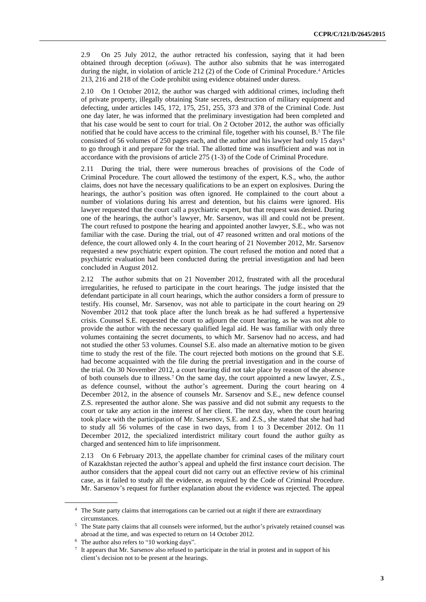2.9 On 25 July 2012, the author retracted his confession, saying that it had been obtained through deception (*обман*). The author also submits that he was interrogated during the night, in violation of article 212 (2) of the Code of Criminal Procedure.<sup>4</sup> Articles 213, 216 and 218 of the Code prohibit using evidence obtained under duress.

2.10 On 1 October 2012, the author was charged with additional crimes, including theft of private property, illegally obtaining State secrets, destruction of military equipment and defecting, under articles 145, 172, 175, 251, 255, 373 and 378 of the Criminal Code. Just one day later, he was informed that the preliminary investigation had been completed and that his case would be sent to court for trial. On 2 October 2012, the author was officially notified that he could have access to the criminal file, together with his counsel,  $B<sup>5</sup>$ . The file consisted of 56 volumes of 250 pages each, and the author and his lawyer had only 15 days<sup>6</sup> to go through it and prepare for the trial. The allotted time was insufficient and was not in accordance with the provisions of article 275 (1-3) of the Code of Criminal Procedure.

2.11 During the trial, there were numerous breaches of provisions of the Code of Criminal Procedure. The court allowed the testimony of the expert, K.S., who, the author claims, does not have the necessary qualifications to be an expert on explosives. During the hearings, the author's position was often ignored. He complained to the court about a number of violations during his arrest and detention, but his claims were ignored. His lawyer requested that the court call a psychiatric expert, but that request was denied. During one of the hearings, the author's lawyer, Mr. Sarsenov, was ill and could not be present. The court refused to postpone the hearing and appointed another lawyer, S.E., who was not familiar with the case. During the trial, out of 47 reasoned written and oral motions of the defence, the court allowed only 4. In the court hearing of 21 November 2012, Mr. Sarsenov requested a new psychiatric expert opinion. The court refused the motion and noted that a psychiatric evaluation had been conducted during the pretrial investigation and had been concluded in August 2012.

2.12 The author submits that on 21 November 2012, frustrated with all the procedural irregularities, he refused to participate in the court hearings. The judge insisted that the defendant participate in all court hearings, which the author considers a form of pressure to testify. His counsel, Mr. Sarsenov, was not able to participate in the court hearing on 29 November 2012 that took place after the lunch break as he had suffered a hypertensive crisis. Counsel S.E. requested the court to adjourn the court hearing, as he was not able to provide the author with the necessary qualified legal aid. He was familiar with only three volumes containing the secret documents, to which Mr. Sarsenov had no access, and had not studied the other 53 volumes. Counsel S.E. also made an alternative motion to be given time to study the rest of the file. The court rejected both motions on the ground that S.E. had become acquainted with the file during the pretrial investigation and in the course of the trial. On 30 November 2012, a court hearing did not take place by reason of the absence of both counsels due to illness.<sup>7</sup> On the same day, the court appointed a new lawyer, Z.S., as defence counsel, without the author's agreement. During the court hearing on 4 December 2012, in the absence of counsels Mr. Sarsenov and S.E., new defence counsel Z.S. represented the author alone. She was passive and did not submit any requests to the court or take any action in the interest of her client. The next day, when the court hearing took place with the participation of Mr. Sarsenov, S.E. and Z.S., she stated that she had had to study all 56 volumes of the case in two days, from 1 to 3 December 2012. On 11 December 2012, the specialized interdistrict military court found the author guilty as charged and sentenced him to life imprisonment.

2.13 On 6 February 2013, the appellate chamber for criminal cases of the military court of Kazakhstan rejected the author's appeal and upheld the first instance court decision. The author considers that the appeal court did not carry out an effective review of his criminal case, as it failed to study all the evidence, as required by the Code of Criminal Procedure. Mr. Sarsenov's request for further explanation about the evidence was rejected. The appeal

<sup>&</sup>lt;sup>4</sup> The State party claims that interrogations can be carried out at night if there are extraordinary circumstances.

<sup>5</sup> The State party claims that all counsels were informed, but the author's privately retained counsel was abroad at the time, and was expected to return on 14 October 2012.

<sup>6</sup> The author also refers to "10 working days".

<sup>7</sup> It appears that Mr. Sarsenov also refused to participate in the trial in protest and in support of his client's decision not to be present at the hearings.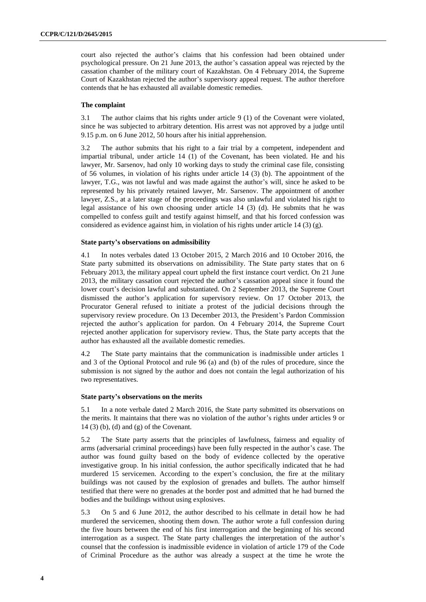court also rejected the author's claims that his confession had been obtained under psychological pressure. On 21 June 2013, the author's cassation appeal was rejected by the cassation chamber of the military court of Kazakhstan. On 4 February 2014, the Supreme Court of Kazakhstan rejected the author's supervisory appeal request. The author therefore contends that he has exhausted all available domestic remedies.

## **The complaint**

3.1 The author claims that his rights under article 9 (1) of the Covenant were violated, since he was subjected to arbitrary detention. His arrest was not approved by a judge until 9.15 p.m. on 6 June 2012, 50 hours after his initial apprehension.

3.2 The author submits that his right to a fair trial by a competent, independent and impartial tribunal, under article 14 (1) of the Covenant, has been violated. He and his lawyer, Mr. Sarsenov, had only 10 working days to study the criminal case file, consisting of 56 volumes, in violation of his rights under article 14 (3) (b). The appointment of the lawyer, T.G., was not lawful and was made against the author's will, since he asked to be represented by his privately retained lawyer, Mr. Sarsenov. The appointment of another lawyer, Z.S., at a later stage of the proceedings was also unlawful and violated his right to legal assistance of his own choosing under article 14 (3) (d). He submits that he was compelled to confess guilt and testify against himself, and that his forced confession was considered as evidence against him, in violation of his rights under article 14 (3) (g).

#### **State party's observations on admissibility**

4.1 In notes verbales dated 13 October 2015, 2 March 2016 and 10 October 2016, the State party submitted its observations on admissibility. The State party states that on 6 February 2013, the military appeal court upheld the first instance court verdict. On 21 June 2013, the military cassation court rejected the author's cassation appeal since it found the lower court's decision lawful and substantiated. On 2 September 2013, the Supreme Court dismissed the author's application for supervisory review. On 17 October 2013, the Procurator General refused to initiate a protest of the judicial decisions through the supervisory review procedure. On 13 December 2013, the President's Pardon Commission rejected the author's application for pardon. On 4 February 2014, the Supreme Court rejected another application for supervisory review. Thus, the State party accepts that the author has exhausted all the available domestic remedies.

4.2 The State party maintains that the communication is inadmissible under articles 1 and 3 of the Optional Protocol and rule 96 (a) and (b) of the rules of procedure, since the submission is not signed by the author and does not contain the legal authorization of his two representatives.

## **State party's observations on the merits**

5.1 In a note verbale dated 2 March 2016, the State party submitted its observations on the merits. It maintains that there was no violation of the author's rights under articles 9 or 14 (3) (b), (d) and (g) of the Covenant.

5.2 The State party asserts that the principles of lawfulness, fairness and equality of arms (adversarial criminal proceedings) have been fully respected in the author's case. The author was found guilty based on the body of evidence collected by the operative investigative group. In his initial confession, the author specifically indicated that he had murdered 15 servicemen. According to the expert's conclusion, the fire at the military buildings was not caused by the explosion of grenades and bullets. The author himself testified that there were no grenades at the border post and admitted that he had burned the bodies and the buildings without using explosives.

5.3 On 5 and 6 June 2012, the author described to his cellmate in detail how he had murdered the servicemen, shooting them down. The author wrote a full confession during the five hours between the end of his first interrogation and the beginning of his second interrogation as a suspect. The State party challenges the interpretation of the author's counsel that the confession is inadmissible evidence in violation of article 179 of the Code of Criminal Procedure as the author was already a suspect at the time he wrote the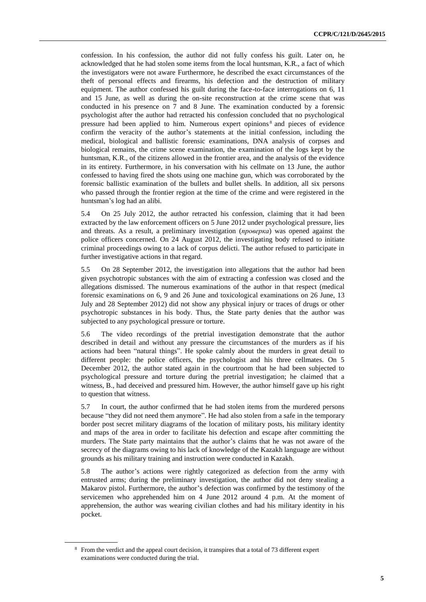confession. In his confession, the author did not fully confess his guilt. Later on, he acknowledged that he had stolen some items from the local huntsman, K.R., a fact of which the investigators were not aware Furthermore, he described the exact circumstances of the theft of personal effects and firearms, his defection and the destruction of military equipment. The author confessed his guilt during the face-to-face interrogations on 6, 11 and 15 June, as well as during the on-site reconstruction at the crime scene that was conducted in his presence on 7 and 8 June. The examination conducted by a forensic psychologist after the author had retracted his confession concluded that no psychological pressure had been applied to him. Numerous expert opinions <sup>8</sup> and pieces of evidence confirm the veracity of the author's statements at the initial confession, including the medical, biological and ballistic forensic examinations, DNA analysis of corpses and biological remains, the crime scene examination, the examination of the logs kept by the huntsman, K.R., of the citizens allowed in the frontier area, and the analysis of the evidence in its entirety. Furthermore, in his conversation with his cellmate on 13 June, the author confessed to having fired the shots using one machine gun, which was corroborated by the forensic ballistic examination of the bullets and bullet shells. In addition, all six persons who passed through the frontier region at the time of the crime and were registered in the huntsman's log had an alibi.

5.4 On 25 July 2012, the author retracted his confession, claiming that it had been extracted by the law enforcement officers on 5 June 2012 under psychological pressure, lies and threats. As a result, a preliminary investigation (*проверка*) was opened against the police officers concerned. On 24 August 2012, the investigating body refused to initiate criminal proceedings owing to a lack of corpus delicti. The author refused to participate in further investigative actions in that regard.

5.5 On 28 September 2012, the investigation into allegations that the author had been given psychotropic substances with the aim of extracting a confession was closed and the allegations dismissed. The numerous examinations of the author in that respect (medical forensic examinations on 6, 9 and 26 June and toxicological examinations on 26 June, 13 July and 28 September 2012) did not show any physical injury or traces of drugs or other psychotropic substances in his body. Thus, the State party denies that the author was subjected to any psychological pressure or torture.

5.6 The video recordings of the pretrial investigation demonstrate that the author described in detail and without any pressure the circumstances of the murders as if his actions had been "natural things". He spoke calmly about the murders in great detail to different people: the police officers, the psychologist and his three cellmates. On 5 December 2012, the author stated again in the courtroom that he had been subjected to psychological pressure and torture during the pretrial investigation; he claimed that a witness, B., had deceived and pressured him. However, the author himself gave up his right to question that witness.

5.7 In court, the author confirmed that he had stolen items from the murdered persons because "they did not need them anymore". He had also stolen from a safe in the temporary border post secret military diagrams of the location of military posts, his military identity and maps of the area in order to facilitate his defection and escape after committing the murders. The State party maintains that the author's claims that he was not aware of the secrecy of the diagrams owing to his lack of knowledge of the Kazakh language are without grounds as his military training and instruction were conducted in Kazakh.

5.8 The author's actions were rightly categorized as defection from the army with entrusted arms; during the preliminary investigation, the author did not deny stealing a Makarov pistol. Furthermore, the author's defection was confirmed by the testimony of the servicemen who apprehended him on 4 June 2012 around 4 p.m. At the moment of apprehension, the author was wearing civilian clothes and had his military identity in his pocket.

<sup>&</sup>lt;sup>8</sup> From the verdict and the appeal court decision, it transpires that a total of 73 different expert examinations were conducted during the trial.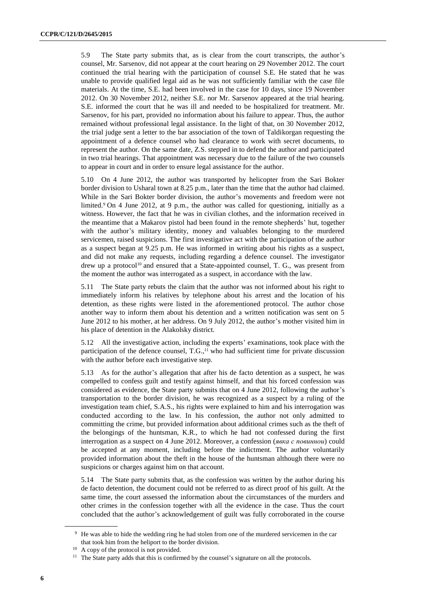5.9 The State party submits that, as is clear from the court transcripts, the author's counsel, Mr. Sarsenov, did not appear at the court hearing on 29 November 2012. The court continued the trial hearing with the participation of counsel S.E. He stated that he was unable to provide qualified legal aid as he was not sufficiently familiar with the case file materials. At the time, S.E. had been involved in the case for 10 days, since 19 November 2012. On 30 November 2012, neither S.E. nor Mr. Sarsenov appeared at the trial hearing. S.E. informed the court that he was ill and needed to be hospitalized for treatment. Mr. Sarsenov, for his part, provided no information about his failure to appear. Thus, the author remained without professional legal assistance. In the light of that, on 30 November 2012, the trial judge sent a letter to the bar association of the town of Taldikorgan requesting the appointment of a defence counsel who had clearance to work with secret documents, to represent the author. On the same date, Z.S. stepped in to defend the author and participated in two trial hearings. That appointment was necessary due to the failure of the two counsels to appear in court and in order to ensure legal assistance for the author.

5.10 On 4 June 2012, the author was transported by helicopter from the Sari Bokter border division to Usharal town at 8.25 p.m., later than the time that the author had claimed. While in the Sari Bokter border division, the author's movements and freedom were not limited.<sup>9</sup> On 4 June 2012, at 9 p.m., the author was called for questioning, initially as a witness. However, the fact that he was in civilian clothes, and the information received in the meantime that a Makarov pistol had been found in the remote shepherds' hut, together with the author's military identity, money and valuables belonging to the murdered servicemen, raised suspicions. The first investigative act with the participation of the author as a suspect began at 9.25 p.m. He was informed in writing about his rights as a suspect, and did not make any requests, including regarding a defence counsel. The investigator drew up a protocol<sup>10</sup> and ensured that a State-appointed counsel, T. G., was present from the moment the author was interrogated as a suspect, in accordance with the law.

5.11 The State party rebuts the claim that the author was not informed about his right to immediately inform his relatives by telephone about his arrest and the location of his detention, as these rights were listed in the aforementioned protocol. The author chose another way to inform them about his detention and a written notification was sent on 5 June 2012 to his mother, at her address. On 9 July 2012, the author's mother visited him in his place of detention in the Alakolsky district.

5.12 All the investigative action, including the experts' examinations, took place with the participation of the defence counsel,  $T.G.,<sup>11</sup>$  who had sufficient time for private discussion with the author before each investigative step.

5.13 As for the author's allegation that after his de facto detention as a suspect, he was compelled to confess guilt and testify against himself, and that his forced confession was considered as evidence, the State party submits that on 4 June 2012, following the author's transportation to the border division, he was recognized as a suspect by a ruling of the investigation team chief, S.A.S., his rights were explained to him and his interrogation was conducted according to the law. In his confession, the author not only admitted to committing the crime, but provided information about additional crimes such as the theft of the belongings of the huntsman, K.R., to which he had not confessed during the first interrogation as a suspect on 4 June 2012. Moreover, a confession (*явка с повиннои*) could be accepted at any moment, including before the indictment. The author voluntarily provided information about the theft in the house of the huntsman although there were no suspicions or charges against him on that account.

5.14 The State party submits that, as the confession was written by the author during his de facto detention, the document could not be referred to as direct proof of his guilt. At the same time, the court assessed the information about the circumstances of the murders and other crimes in the confession together with all the evidence in the case. Thus the court concluded that the author's acknowledgement of guilt was fully corroborated in the course

<sup>9</sup> He was able to hide the wedding ring he had stolen from one of the murdered servicemen in the car that took him from the heliport to the border division.

<sup>&</sup>lt;sup>10</sup> A copy of the protocol is not provided.

<sup>&</sup>lt;sup>11</sup> The State party adds that this is confirmed by the counsel's signature on all the protocols.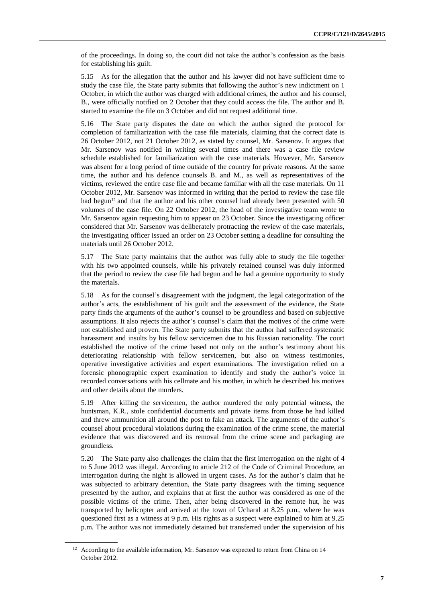of the proceedings. In doing so, the court did not take the author's confession as the basis for establishing his guilt.

5.15 As for the allegation that the author and his lawyer did not have sufficient time to study the case file, the State party submits that following the author's new indictment on 1 October, in which the author was charged with additional crimes, the author and his counsel, B., were officially notified on 2 October that they could access the file. The author and B. started to examine the file on 3 October and did not request additional time.

5.16 The State party disputes the date on which the author signed the protocol for completion of familiarization with the case file materials, claiming that the correct date is 26 October 2012, not 21 October 2012, as stated by counsel, Mr. Sarsenov. It argues that Mr. Sarsenov was notified in writing several times and there was a case file review schedule established for familiarization with the case materials. However, Mr. Sarsenov was absent for a long period of time outside of the country for private reasons. At the same time, the author and his defence counsels B. and M., as well as representatives of the victims, reviewed the entire case file and became familiar with all the case materials. On 11 October 2012, Mr. Sarsenov was informed in writing that the period to review the case file had begun<sup>12</sup> and that the author and his other counsel had already been presented with 50 volumes of the case file. On 22 October 2012, the head of the investigative team wrote to Mr. Sarsenov again requesting him to appear on 23 October. Since the investigating officer considered that Mr. Sarsenov was deliberately protracting the review of the case materials, the investigating officer issued an order on 23 October setting a deadline for consulting the materials until 26 October 2012.

5.17 The State party maintains that the author was fully able to study the file together with his two appointed counsels, while his privately retained counsel was duly informed that the period to review the case file had begun and he had a genuine opportunity to study the materials.

5.18 As for the counsel's disagreement with the judgment, the legal categorization of the author's acts, the establishment of his guilt and the assessment of the evidence, the State party finds the arguments of the author's counsel to be groundless and based on subjective assumptions. It also rejects the author's counsel's claim that the motives of the crime were not established and proven. The State party submits that the author had suffered systematic harassment and insults by his fellow servicemen due to his Russian nationality. The court established the motive of the crime based not only on the author's testimony about his deteriorating relationship with fellow servicemen, but also on witness testimonies, operative investigative activities and expert examinations. The investigation relied on a forensic phonographic expert examination to identify and study the author's voice in recorded conversations with his cellmate and his mother, in which he described his motives and other details about the murders.

5.19 After killing the servicemen, the author murdered the only potential witness, the huntsman, K.R., stole confidential documents and private items from those he had killed and threw ammunition all around the post to fake an attack. The arguments of the author's counsel about procedural violations during the examination of the crime scene, the material evidence that was discovered and its removal from the crime scene and packaging are groundless.

5.20 The State party also challenges the claim that the first interrogation on the night of 4 to 5 June 2012 was illegal. According to article 212 of the Code of Criminal Procedure, an interrogation during the night is allowed in urgent cases. As for the author's claim that he was subjected to arbitrary detention, the State party disagrees with the timing sequence presented by the author, and explains that at first the author was considered as one of the possible victims of the crime. Then, after being discovered in the remote hut, he was transported by helicopter and arrived at the town of Ucharal at 8.25 p.m., where he was questioned first as a witness at 9 p.m. His rights as a suspect were explained to him at 9.25 p.m. The author was not immediately detained but transferred under the supervision of his

<sup>&</sup>lt;sup>12</sup> According to the available information, Mr. Sarsenov was expected to return from China on 14 October 2012.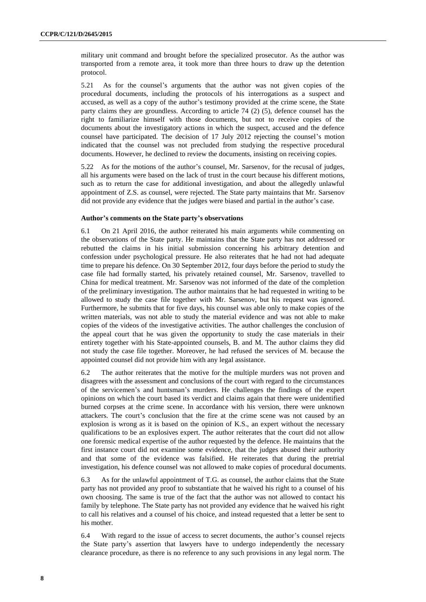military unit command and brought before the specialized prosecutor. As the author was transported from a remote area, it took more than three hours to draw up the detention protocol.

5.21 As for the counsel's arguments that the author was not given copies of the procedural documents, including the protocols of his interrogations as a suspect and accused, as well as a copy of the author's testimony provided at the crime scene, the State party claims they are groundless. According to article 74 (2) (5), defence counsel has the right to familiarize himself with those documents, but not to receive copies of the documents about the investigatory actions in which the suspect, accused and the defence counsel have participated. The decision of 17 July 2012 rejecting the counsel's motion indicated that the counsel was not precluded from studying the respective procedural documents. However, he declined to review the documents, insisting on receiving copies.

5.22 As for the motions of the author's counsel, Mr. Sarsenov, for the recusal of judges, all his arguments were based on the lack of trust in the court because his different motions, such as to return the case for additional investigation, and about the allegedly unlawful appointment of Z.S. as counsel, were rejected. The State party maintains that Mr. Sarsenov did not provide any evidence that the judges were biased and partial in the author's case.

#### **Author's comments on the State party's observations**

6.1 On 21 April 2016, the author reiterated his main arguments while commenting on the observations of the State party. He maintains that the State party has not addressed or rebutted the claims in his initial submission concerning his arbitrary detention and confession under psychological pressure. He also reiterates that he had not had adequate time to prepare his defence. On 30 September 2012, four days before the period to study the case file had formally started, his privately retained counsel, Mr. Sarsenov, travelled to China for medical treatment. Mr. Sarsenov was not informed of the date of the completion of the preliminary investigation. The author maintains that he had requested in writing to be allowed to study the case file together with Mr. Sarsenov, but his request was ignored. Furthermore, he submits that for five days, his counsel was able only to make copies of the written materials, was not able to study the material evidence and was not able to make copies of the videos of the investigative activities. The author challenges the conclusion of the appeal court that he was given the opportunity to study the case materials in their entirety together with his State-appointed counsels, B. and M. The author claims they did not study the case file together. Moreover, he had refused the services of M. because the appointed counsel did not provide him with any legal assistance.

6.2 The author reiterates that the motive for the multiple murders was not proven and disagrees with the assessment and conclusions of the court with regard to the circumstances of the servicemen's and huntsman's murders. He challenges the findings of the expert opinions on which the court based its verdict and claims again that there were unidentified burned corpses at the crime scene. In accordance with his version, there were unknown attackers. The court's conclusion that the fire at the crime scene was not caused by an explosion is wrong as it is based on the opinion of K.S., an expert without the necessary qualifications to be an explosives expert. The author reiterates that the court did not allow one forensic medical expertise of the author requested by the defence. He maintains that the first instance court did not examine some evidence, that the judges abused their authority and that some of the evidence was falsified. He reiterates that during the pretrial investigation, his defence counsel was not allowed to make copies of procedural documents.

6.3 As for the unlawful appointment of T.G. as counsel, the author claims that the State party has not provided any proof to substantiate that he waived his right to a counsel of his own choosing. The same is true of the fact that the author was not allowed to contact his family by telephone. The State party has not provided any evidence that he waived his right to call his relatives and a counsel of his choice, and instead requested that a letter be sent to his mother.

6.4 With regard to the issue of access to secret documents, the author's counsel rejects the State party's assertion that lawyers have to undergo independently the necessary clearance procedure, as there is no reference to any such provisions in any legal norm. The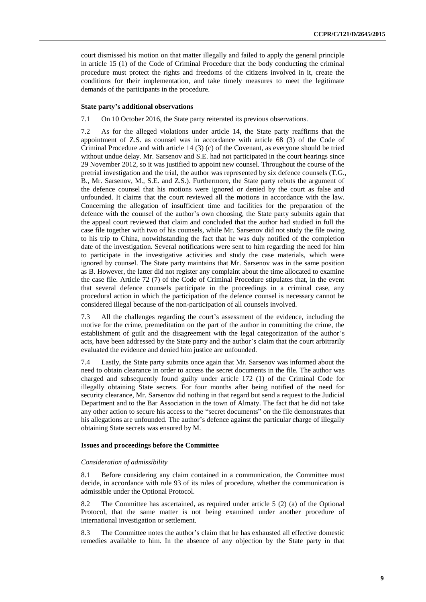court dismissed his motion on that matter illegally and failed to apply the general principle in article 15 (1) of the Code of Criminal Procedure that the body conducting the criminal procedure must protect the rights and freedoms of the citizens involved in it, create the conditions for their implementation, and take timely measures to meet the legitimate demands of the participants in the procedure.

#### **State party's additional observations**

7.1 On 10 October 2016, the State party reiterated its previous observations.

7.2 As for the alleged violations under article 14, the State party reaffirms that the appointment of Z.S. as counsel was in accordance with article 68 (3) of the Code of Criminal Procedure and with article 14 (3) (c) of the Covenant, as everyone should be tried without undue delay. Mr. Sarsenov and S.E. had not participated in the court hearings since 29 November 2012, so it was justified to appoint new counsel. Throughout the course of the pretrial investigation and the trial, the author was represented by six defence counsels (T.G., B., Mr. Sarsenov, M., S.E. and Z.S.). Furthermore, the State party rebuts the argument of the defence counsel that his motions were ignored or denied by the court as false and unfounded. It claims that the court reviewed all the motions in accordance with the law. Concerning the allegation of insufficient time and facilities for the preparation of the defence with the counsel of the author's own choosing, the State party submits again that the appeal court reviewed that claim and concluded that the author had studied in full the case file together with two of his counsels, while Mr. Sarsenov did not study the file owing to his trip to China, notwithstanding the fact that he was duly notified of the completion date of the investigation. Several notifications were sent to him regarding the need for him to participate in the investigative activities and study the case materials, which were ignored by counsel. The State party maintains that Mr. Sarsenov was in the same position as B. However, the latter did not register any complaint about the time allocated to examine the case file. Article 72 (7) of the Code of Criminal Procedure stipulates that, in the event that several defence counsels participate in the proceedings in a criminal case, any procedural action in which the participation of the defence counsel is necessary cannot be considered illegal because of the non-participation of all counsels involved.

7.3 All the challenges regarding the court's assessment of the evidence, including the motive for the crime, premeditation on the part of the author in committing the crime, the establishment of guilt and the disagreement with the legal categorization of the author's acts, have been addressed by the State party and the author's claim that the court arbitrarily evaluated the evidence and denied him justice are unfounded.

7.4 Lastly, the State party submits once again that Mr. Sarsenov was informed about the need to obtain clearance in order to access the secret documents in the file. The author was charged and subsequently found guilty under article 172 (1) of the Criminal Code for illegally obtaining State secrets. For four months after being notified of the need for security clearance, Mr. Sarsenov did nothing in that regard but send a request to the Judicial Department and to the Bar Association in the town of Almaty. The fact that he did not take any other action to secure his access to the "secret documents" on the file demonstrates that his allegations are unfounded. The author's defence against the particular charge of illegally obtaining State secrets was ensured by M.

#### **Issues and proceedings before the Committee**

#### *Consideration of admissibility*

8.1 Before considering any claim contained in a communication, the Committee must decide, in accordance with rule 93 of its rules of procedure, whether the communication is admissible under the Optional Protocol.

8.2 The Committee has ascertained, as required under article 5 (2) (a) of the Optional Protocol, that the same matter is not being examined under another procedure of international investigation or settlement.

8.3 The Committee notes the author's claim that he has exhausted all effective domestic remedies available to him. In the absence of any objection by the State party in that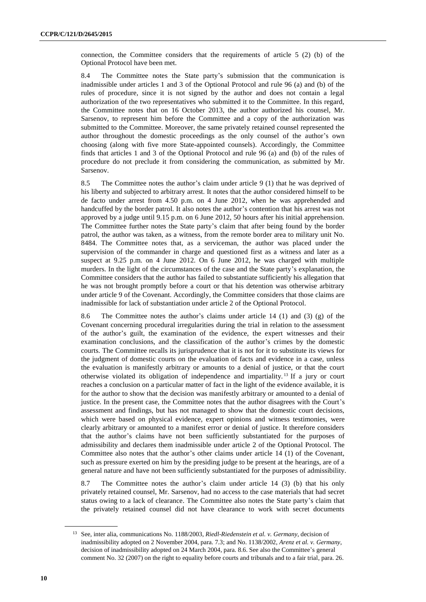connection, the Committee considers that the requirements of article 5 (2) (b) of the Optional Protocol have been met.

8.4 The Committee notes the State party's submission that the communication is inadmissible under articles 1 and 3 of the Optional Protocol and rule 96 (a) and (b) of the rules of procedure, since it is not signed by the author and does not contain a legal authorization of the two representatives who submitted it to the Committee. In this regard, the Committee notes that on 16 October 2013, the author authorized his counsel, Mr. Sarsenov, to represent him before the Committee and a copy of the authorization was submitted to the Committee. Moreover, the same privately retained counsel represented the author throughout the domestic proceedings as the only counsel of the author's own choosing (along with five more State-appointed counsels). Accordingly, the Committee finds that articles 1 and 3 of the Optional Protocol and rule 96 (a) and (b) of the rules of procedure do not preclude it from considering the communication, as submitted by Mr. Sarsenov.

8.5 The Committee notes the author's claim under article 9 (1) that he was deprived of his liberty and subjected to arbitrary arrest. It notes that the author considered himself to be de facto under arrest from 4.50 p.m. on 4 June 2012, when he was apprehended and handcuffed by the border patrol. It also notes the author's contention that his arrest was not approved by a judge until 9.15 p.m. on 6 June 2012, 50 hours after his initial apprehension. The Committee further notes the State party's claim that after being found by the border patrol, the author was taken, as a witness, from the remote border area to military unit No. 8484. The Committee notes that, as a serviceman, the author was placed under the supervision of the commander in charge and questioned first as a witness and later as a suspect at 9.25 p.m. on 4 June 2012. On 6 June 2012, he was charged with multiple murders. In the light of the circumstances of the case and the State party's explanation, the Committee considers that the author has failed to substantiate sufficiently his allegation that he was not brought promptly before a court or that his detention was otherwise arbitrary under article 9 of the Covenant. Accordingly, the Committee considers that those claims are inadmissible for lack of substantiation under article 2 of the Optional Protocol.

8.6 The Committee notes the author's claims under article 14 (1) and (3) (g) of the Covenant concerning procedural irregularities during the trial in relation to the assessment of the author's guilt, the examination of the evidence, the expert witnesses and their examination conclusions, and the classification of the author's crimes by the domestic courts. The Committee recalls its jurisprudence that it is not for it to substitute its views for the judgment of domestic courts on the evaluation of facts and evidence in a case, unless the evaluation is manifestly arbitrary or amounts to a denial of justice, or that the court otherwise violated its obligation of independence and impartiality. <sup>13</sup> If a jury or court reaches a conclusion on a particular matter of fact in the light of the evidence available, it is for the author to show that the decision was manifestly arbitrary or amounted to a denial of justice. In the present case, the Committee notes that the author disagrees with the Court's assessment and findings, but has not managed to show that the domestic court decisions, which were based on physical evidence, expert opinions and witness testimonies, were clearly arbitrary or amounted to a manifest error or denial of justice. It therefore considers that the author's claims have not been sufficiently substantiated for the purposes of admissibility and declares them inadmissible under article 2 of the Optional Protocol. The Committee also notes that the author's other claims under article 14 (1) of the Covenant, such as pressure exerted on him by the presiding judge to be present at the hearings, are of a general nature and have not been sufficiently substantiated for the purposes of admissibility.

8.7 The Committee notes the author's claim under article 14 (3) (b) that his only privately retained counsel, Mr. Sarsenov, had no access to the case materials that had secret status owing to a lack of clearance. The Committee also notes the State party's claim that the privately retained counsel did not have clearance to work with secret documents

<sup>13</sup> See, inter alia, communications No. 1188/2003, *Riedl-Riedenstein et al. v. Germany*, decision of inadmissibility adopted on 2 November 2004, para. 7.3; and No. 1138/2002, *Arenz et al. v. Germany*, decision of inadmissibility adopted on 24 March 2004, para. 8.6. See also the Committee's general comment No. 32 (2007) on the right to equality before courts and tribunals and to a fair trial, para. 26.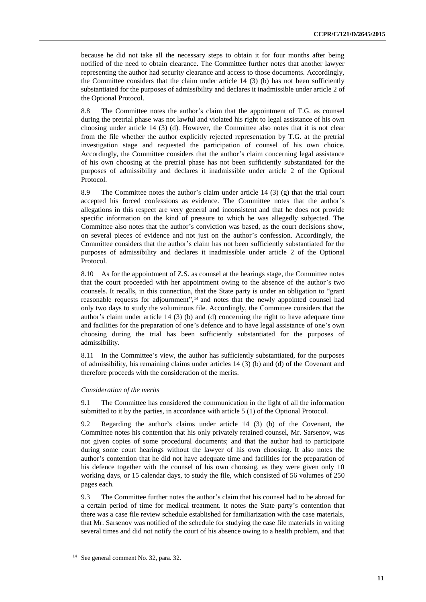because he did not take all the necessary steps to obtain it for four months after being notified of the need to obtain clearance. The Committee further notes that another lawyer representing the author had security clearance and access to those documents. Accordingly, the Committee considers that the claim under article  $14$  (3) (b) has not been sufficiently substantiated for the purposes of admissibility and declares it inadmissible under article 2 of the Optional Protocol.

8.8 The Committee notes the author's claim that the appointment of T.G. as counsel during the pretrial phase was not lawful and violated his right to legal assistance of his own choosing under article 14 (3) (d). However, the Committee also notes that it is not clear from the file whether the author explicitly rejected representation by T.G. at the pretrial investigation stage and requested the participation of counsel of his own choice. Accordingly, the Committee considers that the author's claim concerning legal assistance of his own choosing at the pretrial phase has not been sufficiently substantiated for the purposes of admissibility and declares it inadmissible under article 2 of the Optional Protocol.

8.9 The Committee notes the author's claim under article 14 (3) (g) that the trial court accepted his forced confessions as evidence. The Committee notes that the author's allegations in this respect are very general and inconsistent and that he does not provide specific information on the kind of pressure to which he was allegedly subjected. The Committee also notes that the author's conviction was based, as the court decisions show, on several pieces of evidence and not just on the author's confession. Accordingly, the Committee considers that the author's claim has not been sufficiently substantiated for the purposes of admissibility and declares it inadmissible under article 2 of the Optional Protocol.

8.10 As for the appointment of Z.S. as counsel at the hearings stage, the Committee notes that the court proceeded with her appointment owing to the absence of the author's two counsels. It recalls, in this connection, that the State party is under an obligation to "grant reasonable requests for adjournment",<sup>14</sup> and notes that the newly appointed counsel had only two days to study the voluminous file. Accordingly, the Committee considers that the author's claim under article 14 (3) (b) and (d) concerning the right to have adequate time and facilities for the preparation of one's defence and to have legal assistance of one's own choosing during the trial has been sufficiently substantiated for the purposes of admissibility.

8.11 In the Committee's view, the author has sufficiently substantiated, for the purposes of admissibility, his remaining claims under articles 14 (3) (b) and (d) of the Covenant and therefore proceeds with the consideration of the merits.

#### *Consideration of the merits*

9.1 The Committee has considered the communication in the light of all the information submitted to it by the parties, in accordance with article 5 (1) of the Optional Protocol.

9.2 Regarding the author's claims under article 14 (3) (b) of the Covenant, the Committee notes his contention that his only privately retained counsel, Mr. Sarsenov, was not given copies of some procedural documents; and that the author had to participate during some court hearings without the lawyer of his own choosing. It also notes the author's contention that he did not have adequate time and facilities for the preparation of his defence together with the counsel of his own choosing, as they were given only 10 working days, or 15 calendar days, to study the file, which consisted of 56 volumes of 250 pages each.

9.3 The Committee further notes the author's claim that his counsel had to be abroad for a certain period of time for medical treatment. It notes the State party's contention that there was a case file review schedule established for familiarization with the case materials, that Mr. Sarsenov was notified of the schedule for studying the case file materials in writing several times and did not notify the court of his absence owing to a health problem, and that

<sup>14</sup> See general comment No. 32, para. 32.